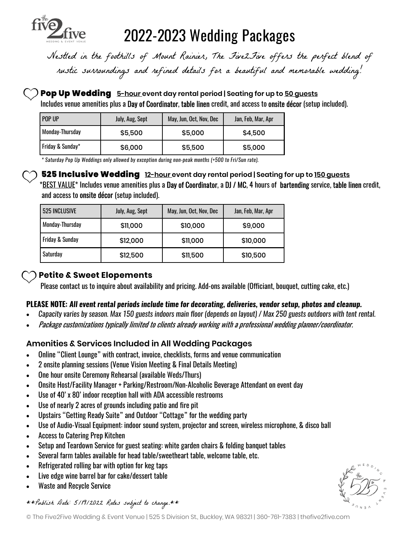

# 2022-2023 Wedding Packages

Nestled in the foothills of Mount Rainier, The Five 2 Five offers the perfect blend of rustic surroundings and refined details for a beautiful and memorable wedding!

#### Pop Up Wedding 5-hour event day rental period | Seating for up to 50 quests

Includes venue amenities plus a Day of Coordinator, table linen credit, and access to onsite décor (setup included).

| POP UP           | July, Aug, Sept | May, Jun, Oct, Nov, Dec | Jan, Feb, Mar, Apr |
|------------------|-----------------|-------------------------|--------------------|
| Monday-Thursday  | \$5,500         | \$5,000                 | \$4,500            |
| Friday & Sunday* | \$6,000         | \$5,500                 | \$5,000            |

\* Saturday Pop Up Weddings only allowed by exception during non-peak months (+500 to Fri/Sun rate).

**525 Inclusive Wedding** 12-hour event day rental period | Seating for up to 150 guests \*BEST VALUE\* Includes venue amenities plus a Day of Coordinator, a DJ / MC, 4 hours of bartending service, table linen credit, and access to onsite décor (setup included).

| 525 INCLUSIVE              | July, Aug, Sept | May, Jun, Oct, Nov, Dec | Jan, Feb, Mar, Apr |
|----------------------------|-----------------|-------------------------|--------------------|
| <b>Monday-Thursday</b>     | \$11,000        | \$10,000                | \$9,000            |
| <b>Friday &amp; Sunday</b> | \$12,000        | \$11,000                | \$10,000           |
| Saturday                   | \$12,500        | \$11,500                | \$10,500           |

## Petite & Sweet Elopements

Please contact us to inquire about availability and pricing. Add-ons available (Officiant, bouquet, cutting cake, etc.)

#### PLEASE NOTE: All event rental periods include time for decorating, deliveries, vendor setup, photos and cleanup.

- · Capacity varies by season. Max 150 guests indoors main floor (depends on layout) / Max 250 guests outdoors with tent rental.
- · Package customizations typically limited to clients already working with a professional wedding planner/coordinator.

## Amenities & Services Included in All Wedding Packages

- · Online "Client Lounge" with contract, invoice, checklists, forms and venue communication
- · 2 onsite planning sessions (Venue Vision Meeting & Final Details Meeting)
- · One hour onsite Ceremony Rehearsal (available Weds/Thurs)
- · Onsite Host/Facility Manager + Parking/Restroom/Non-Alcoholic Beverage Attendant on event day
- Use of 40' x 80' indoor reception hall with ADA accessible restrooms
- Use of nearly 2 acres of grounds including patio and fire pit
- Upstairs "Getting Ready Suite" and Outdoor "Cottage" for the wedding party
- · Use of Audio-Visual Equipment: indoor sound system, projector and screen, wireless microphone, & disco ball
- · Access to Catering Prep Kitchen
- Setup and Teardown Service for guest seating: white garden chairs & folding banquet tables
- · Several farm tables available for head table/sweetheart table, welcome table, etc.
- · Refrigerated rolling bar with option for keg taps
- · Live edge wine barrel bar for cake/dessert table
- Waste and Recycle Service

\*\* Publish Date: 5/19/2022 Rates subject to change.\*\*